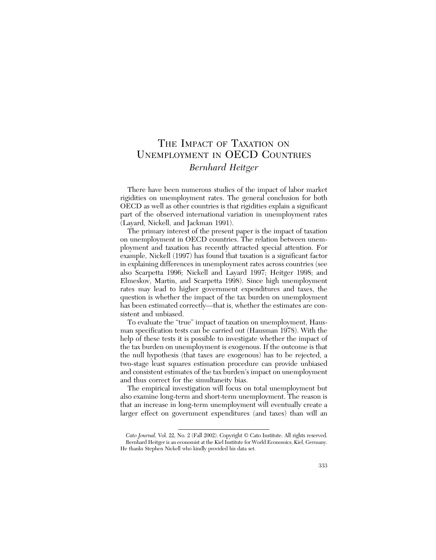# THE IMPACT OF TAXATION ON UNEMPLOYMENT IN OECD COUNTRIES *Bernhard Heitger*

There have been numerous studies of the impact of labor market rigidities on unemployment rates. The general conclusion for both OECD as well as other countries is that rigidities explain a significant part of the observed international variation in unemployment rates (Layard, Nickell, and Jackman 1991).

The primary interest of the present paper is the impact of taxation on unemployment in OECD countries. The relation between unemployment and taxation has recently attracted special attention. For example, Nickell (1997) has found that taxation is a significant factor in explaining differences in unemployment rates across countries (see also Scarpetta 1996; Nickell and Layard 1997; Heitger 1998; and Elmeskov, Martin, and Scarpetta 1998). Since high unemployment rates may lead to higher government expenditures and taxes, the question is whether the impact of the tax burden on unemployment has been estimated correctly—that is, whether the estimates are consistent and unbiased.

To evaluate the "true" impact of taxation on unemployment, Hausman specification tests can be carried out (Hausman 1978). With the help of these tests it is possible to investigate whether the impact of the tax burden on unemployment is exogenous. If the outcome is that the null hypothesis (that taxes are exogenous) has to be rejected, a two-stage least squares estimation procedure can provide unbiased and consistent estimates of the tax burden's impact on unemployment and thus correct for the simultaneity bias.

The empirical investigation will focus on total unemployment but also examine long-term and short-term unemployment. The reason is that an increase in long-term unemployment will eventually create a larger effect on government expenditures (and taxes) than will an

*Cato Journal,* Vol. 22, No. 2 (Fall 2002). Copyright © Cato Institute. All rights reserved. Bernhard Heitger is an economist at the Kiel Institute for World Economics, Kiel, Germany. He thanks Stephen Nickell who kindly provided his data set.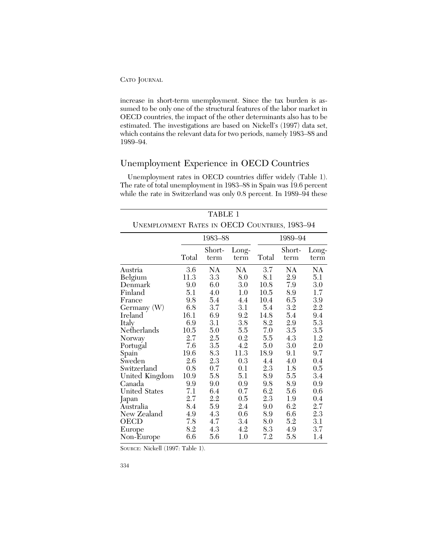increase in short-term unemployment. Since the tax burden is assumed to be only one of the structural features of the labor market in OECD countries, the impact of the other determinants also has to be estimated. The investigations are based on Nickell's (1997) data set, which contains the relevant data for two periods, namely 1983–88 and 1989–94.

# Unemployment Experience in OECD Countries

Unemployment rates in OECD countries differ widely (Table 1). The rate of total unemployment in 1983–88 in Spain was 19.6 percent while the rate in Switzerland was only 0.8 percent. In 1989–94 these

|                                               |       | <b>TABLE 1</b> |               |       |                |               |
|-----------------------------------------------|-------|----------------|---------------|-------|----------------|---------------|
| UNEMPLOYMENT RATES IN OECD COUNTRIES, 1983-94 |       |                |               |       |                |               |
|                                               |       | 1983-88        |               |       | 1989-94        |               |
|                                               | Total | Short-<br>term | Long-<br>term | Total | Short-<br>term | Long-<br>term |
| Austria                                       | 3.6   | NA             | NA            | 3.7   | NA             | NA            |
| Belgium                                       | 11.3  | 3.3            | 8.0           | 8.1   | 2.9            | 5.1           |
| Denmark                                       | 9.0   | 6.0            | 3.0           | 10.8  | 7.9            | 3.0           |
| Finland                                       | 5.1   | 4.0            | 1.0           | 10.5  | 8.9            | 1.7           |
| France                                        | 9.8   | 5.4            | 4.4           | 10.4  | 6.5            | 3.9           |
| Germany (W)                                   | 6.8   | 3.7            | 3.1           | 5.4   | 3.2            | 2.2           |
| Ireland                                       | 16.1  | 6.9            | 9.2           | 14.8  | 5.4            | 9.4           |
| Italy                                         | 6.9   | 3.1            | 3.8           | 8.2   | 2.9            | 5.3           |
| Netherlands                                   | 10.5  | 5.0            | 5.5           | 7.0   | 3.5            | 3.5           |
| Norway                                        | 2.7   | $2.5\,$        | 0.2           | 5.5   | 4.3            | 1.2           |
| Portugal                                      | 7.6   | 3.5            | 4.2           | 5.0   | 3.0            | 2.0           |
| Spain                                         | 19.6  | 8.3            | 11.3          | 18.9  | 9.1            | 9.7           |
| Sweden                                        | 2.6   | 2.3            | 0.3           | 4.4   | 4.0            | 0.4           |
| Switzerland                                   | 0.8   | 0.7            | 0.1           | 2.3   | 1.8            | 0.5           |
| United Kingdom                                | 10.9  | 5.8            | 5.1           | 8.9   | 5.5            | 3.4           |
| Canada                                        | 9.9   | 9.0            | 0.9           | 9.8   | 8.9            | 0.9           |
| <b>United States</b>                          | 7.1   | 6.4            | 0.7           | 6.2   | 5.6            | 0.6           |
| Japan                                         | 2.7   | 2.2            | 0.5           | 2.3   | 1.9            | 0.4           |
| Aūstralia                                     | 8.4   | 5.9            | 2.4           | 9.0   | 6.2            | $2.7\,$       |
| New Zealand                                   | 4.9   | 4.3            | 0.6           | 8.9   | 6.6            | 2.3           |
| OECD                                          | 7.8   | 4.7            | 3.4           | 8.0   | 5.2            | 3.1           |
| Europe                                        | 8.2   | 4.3            | 4.2           | 8.3   | 4.9            | 3.7           |
| Non-Europe                                    | 6.6   | 5.6            | 1.0           | 7.2   | 5.8            | 1.4           |

SOURCE: Nickell (1997: Table 1).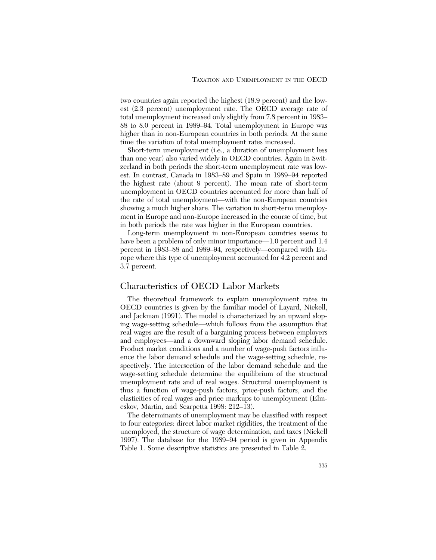two countries again reported the highest (18.9 percent) and the lowest (2.3 percent) unemployment rate. The OECD average rate of total unemployment increased only slightly from 7.8 percent in 1983– 88 to 8.0 percent in 1989–94. Total unemployment in Europe was higher than in non-European countries in both periods. At the same time the variation of total unemployment rates increased.

Short-term unemployment (i.e., a duration of unemployment less than one year) also varied widely in OECD countries. Again in Switzerland in both periods the short-term unemployment rate was lowest. In contrast, Canada in 1983–89 and Spain in 1989–94 reported the highest rate (about 9 percent). The mean rate of short-term unemployment in OECD countries accounted for more than half of the rate of total unemployment—with the non-European countries showing a much higher share. The variation in short-term unemployment in Europe and non-Europe increased in the course of time, but in both periods the rate was higher in the European countries.

Long-term unemployment in non-European countries seems to have been a problem of only minor importance—1.0 percent and 1.4 percent in 1983–88 and 1989–94, respectively—compared with Europe where this type of unemployment accounted for 4.2 percent and 3.7 percent.

## Characteristics of OECD Labor Markets

The theoretical framework to explain unemployment rates in OECD countries is given by the familiar model of Layard, Nickell, and Jackman (1991). The model is characterized by an upward sloping wage-setting schedule—which follows from the assumption that real wages are the result of a bargaining process between employers and employees—and a downward sloping labor demand schedule. Product market conditions and a number of wage-push factors influence the labor demand schedule and the wage-setting schedule, respectively. The intersection of the labor demand schedule and the wage-setting schedule determine the equilibrium of the structural unemployment rate and of real wages. Structural unemployment is thus a function of wage-push factors, price-push factors, and the elasticities of real wages and price markups to unemployment (Elmeskov, Martin, and Scarpetta 1998: 212–13).

The determinants of unemployment may be classified with respect to four categories: direct labor market rigidities, the treatment of the unemployed, the structure of wage determination, and taxes (Nickell 1997). The database for the 1989–94 period is given in Appendix Table 1. Some descriptive statistics are presented in Table 2.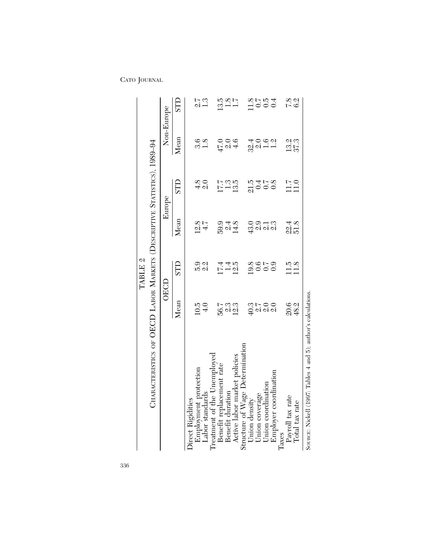| CHARACTERISTICS OF OECD LABOR MARKETS (DESCRIPTIVE STATISTICS), 1989-94 |                        | TABLE <sub>2</sub>   |                       |                     |                               |                  |
|-------------------------------------------------------------------------|------------------------|----------------------|-----------------------|---------------------|-------------------------------|------------------|
|                                                                         | OECD                   |                      | Europe                |                     | Non-Europe                    |                  |
|                                                                         | $\mathbf{M}\text{ean}$ | <b>GLLS</b>          | Mean                  | STD                 | Mean                          | <b>CLLS</b>      |
| Direct Rigidities                                                       |                        |                      |                       |                     |                               |                  |
| Employment protection                                                   |                        |                      |                       |                     |                               |                  |
| Labor standards                                                         | $\frac{10.5}{4.0}$     | 0.<br>5. 21<br>5. 21 | $\frac{12.8}{4.7}$    |                     | $\frac{6}{3}$ .8              | ี<br>2.3<br>1.3  |
| Treatment of the Unemployed                                             |                        |                      |                       |                     |                               |                  |
| Benefit replacement rate                                                |                        |                      |                       |                     |                               |                  |
| Benefit duration                                                        |                        | $\frac{1740}{121}$   | 5948<br>594<br>14     |                     | 0.0<br>पु. ०१<br>सु           | $13.7$<br>$-1.7$ |
| Active labor market policies                                            | 56.3<br>56.42          |                      |                       | $\frac{17.7}{13.5}$ |                               |                  |
| Structure of Wage Determination                                         |                        |                      |                       |                     |                               |                  |
| Union density                                                           |                        |                      |                       |                     |                               |                  |
| Union coverage                                                          | ciroo<br>Gaiga         | sidus<br>Sidus       | o o – n<br>G oi oi oi | 210458              | a 0 0 0<br>4 0 0 0<br>4 0 1 1 | $1004$<br>$-004$ |
| Union coordination                                                      |                        |                      |                       |                     |                               |                  |
| Employer coordination                                                   |                        |                      |                       |                     |                               |                  |
| laxes                                                                   |                        |                      |                       |                     |                               |                  |
| Payroll tax rate                                                        | 20.3<br>48.2           | $\frac{11.5}{11.8}$  | $\frac{22.4}{51.8}$   | $11.7$<br>11.0      | 13.3<br>37.3                  | 7.8<br>6.21      |
| Iotal tax rate                                                          |                        |                      |                       |                     |                               |                  |
|                                                                         |                        |                      |                       |                     |                               |                  |

SOURCE: Nickell (1997: Tables 4 and 5); author's calculations. SOURCE: Nickell (1997: Tables 4 and 5); author's calculations.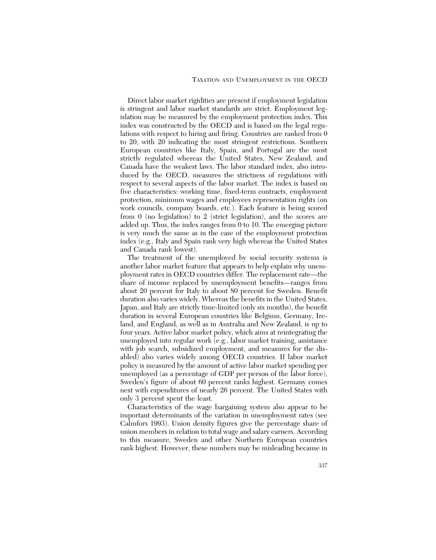Direct labor market rigidities are present if employment legislation is stringent and labor market standards are strict. Employment legislation may be measured by the employment protection index. This index was constructed by the OECD and is based on the legal regulations with respect to hiring and firing. Countries are ranked from 0 to 20, with 20 indicating the most stringent restrictions. Southern European countries like Italy, Spain, and Portugal are the most strictly regulated whereas the United States, New Zealand, and Canada have the weakest laws. The labor standard index, also introduced by the OECD, measures the strictness of regulations with respect to several aspects of the labor market. The index is based on five characteristics: working time, fixed-term contracts, employment protection, minimum wages and employees representation rights (on work councils, company boards, etc.). Each feature is being scored from 0 (no legislation) to 2 (strict legislation), and the scores are added up. Thus, the index ranges from 0 to 10. The emerging picture is very much the same as in the case of the employment protection index (e.g., Italy and Spain rank very high whereas the United States and Canada rank lowest).

The treatment of the unemployed by social security systems is another labor market feature that appears to help explain why unemployment rates in OECD countries differ. The replacement rate—the share of income replaced by unemployment benefits—ranges from about 20 percent for Italy to about 80 percent for Sweden. Benefit duration also varies widely. Whereas the benefits in the United States, Japan, and Italy are strictly time-limited (only six months), the benefit duration in several European countries like Belgium, Germany, Ireland, and England, as well as in Australia and New Zealand, is up to four years. Active labor market policy, which aims at reintegrating the unemployed into regular work (e.g., labor market training, assistance with job search, subsidized employment, and measures for the disabled) also varies widely among OECD countries. If labor market policy is measured by the amount of active labor market spending per unemployed (as a percentage of GDP per person of the labor force), Sweden's figure of about 60 percent ranks highest. Germany comes next with expenditures of nearly 26 percent. The United States with only 3 percent spent the least.

Characteristics of the wage bargaining system also appear to be important determinants of the variation in unemployment rates (see Calmfors 1993). Union density figures give the percentage share of union members in relation to total wage and salary earners. According to this measure, Sweden and other Northern European countries rank highest. However, these numbers may be misleading because in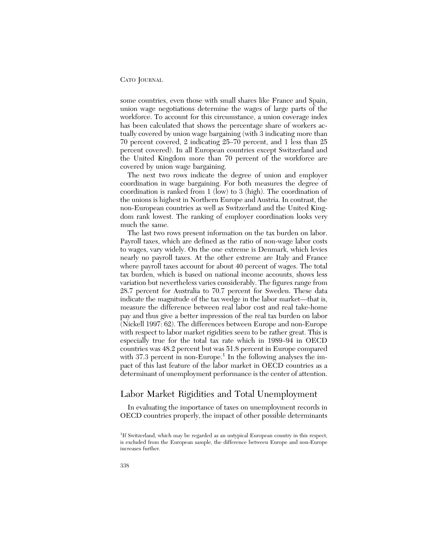some countries, even those with small shares like France and Spain, union wage negotiations determine the wages of large parts of the workforce. To account for this circumstance, a union coverage index has been calculated that shows the percentage share of workers actually covered by union wage bargaining (with 3 indicating more than 70 percent covered, 2 indicating 25–70 percent, and 1 less than 25 percent covered). In all European countries except Switzerland and the United Kingdom more than 70 percent of the workforce are covered by union wage bargaining.

The next two rows indicate the degree of union and employer coordination in wage bargaining. For both measures the degree of coordination is ranked from 1 (low) to 3 (high). The coordination of the unions is highest in Northern Europe and Austria. In contrast, the non-European countries as well as Switzerland and the United Kingdom rank lowest. The ranking of employer coordination looks very much the same.

The last two rows present information on the tax burden on labor. Payroll taxes, which are defined as the ratio of non-wage labor costs to wages, vary widely. On the one extreme is Denmark, which levies nearly no payroll taxes. At the other extreme are Italy and France where payroll taxes account for about 40 percent of wages. The total tax burden, which is based on national income accounts, shows less variation but nevertheless varies considerably. The figures range from 28.7 percent for Australia to 70.7 percent for Sweden. These data indicate the magnitude of the tax wedge in the labor market—that is, measure the difference between real labor cost and real take-home pay and thus give a better impression of the real tax burden on labor (Nickell 1997: 62). The differences between Europe and non-Europe with respect to labor market rigidities seem to be rather great. This is especially true for the total tax rate which in 1989–94 in OECD countries was 48.2 percent but was 51.8 percent in Europe compared with  $37.3$  percent in non-Europe.<sup>1</sup> In the following analyses the impact of this last feature of the labor market in OECD countries as a determinant of unemployment performance is the center of attention.

# Labor Market Rigidities and Total Unemployment

In evaluating the importance of taxes on unemployment records in OECD countries properly, the impact of other possible determinants

<sup>&</sup>lt;sup>1</sup>If Switzerland, which may be regarded as an untypical European country in this respect, is excluded from the European sample, the difference between Europe and non-Europe increases further.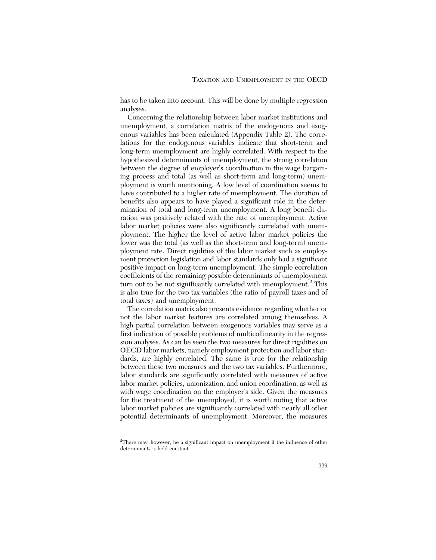has to be taken into account. This will be done by multiple regression analyses.

Concerning the relationship between labor market institutions and unemployment, a correlation matrix of the endogenous and exogenous variables has been calculated (Appendix Table 2). The correlations for the endogenous variables indicate that short-term and long-term unemployment are highly correlated. With respect to the hypothesized determinants of unemployment, the strong correlation between the degree of employer's coordination in the wage bargaining process and total (as well as short-term and long-term) unemployment is worth mentioning. A low level of coordination seems to have contributed to a higher rate of unemployment. The duration of benefits also appears to have played a significant role in the determination of total and long-term unemployment. A long benefit duration was positively related with the rate of unemployment. Active labor market policies were also significantly correlated with unemployment. The higher the level of active labor market policies the lower was the total (as well as the short-term and long-term) unemployment rate. Direct rigidities of the labor market such as employment protection legislation and labor standards only had a significant positive impact on long-term unemployment. The simple correlation coefficients of the remaining possible determinants of unemployment turn out to be not significantly correlated with unemployment.<sup>2</sup> This is also true for the two tax variables (the ratio of payroll taxes and of total taxes) and unemployment.

The correlation matrix also presents evidence regarding whether or not the labor market features are correlated among themselves. A high partial correlation between exogenous variables may serve as a first indication of possible problems of multicollinearity in the regression analyses. As can be seen the two measures for direct rigidities on OECD labor markets, namely employment protection and labor standards, are highly correlated. The same is true for the relationship between these two measures and the two tax variables. Furthermore, labor standards are significantly correlated with measures of active labor market policies, unionization, and union coordination, as well as with wage coordination on the employer's side. Given the measures for the treatment of the unemployed, it is worth noting that active labor market policies are significantly correlated with nearly all other potential determinants of unemployment. Moreover, the measures

<sup>&</sup>lt;sup>2</sup>There may, however, be a significant impact on unemployment if the influence of other determinants is held constant.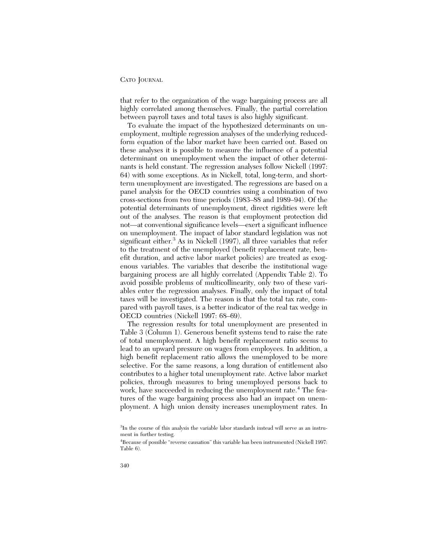that refer to the organization of the wage bargaining process are all highly correlated among themselves. Finally, the partial correlation between payroll taxes and total taxes is also highly significant.

To evaluate the impact of the hypothesized determinants on unemployment, multiple regression analyses of the underlying reducedform equation of the labor market have been carried out. Based on these analyses it is possible to measure the influence of a potential determinant on unemployment when the impact of other determinants is held constant. The regression analyses follow Nickell (1997: 64) with some exceptions. As in Nickell, total, long-term, and shortterm unemployment are investigated. The regressions are based on a panel analysis for the OECD countries using a combination of two cross-sections from two time periods (1983–88 and 1989–94). Of the potential determinants of unemployment, direct rigidities were left out of the analyses. The reason is that employment protection did not—at conventional significance levels—exert a significant influence on unemployment. The impact of labor standard legislation was not significant either. $3$  As in Nickell (1997), all three variables that refer to the treatment of the unemployed (benefit replacement rate, benefit duration, and active labor market policies) are treated as exogenous variables. The variables that describe the institutional wage bargaining process are all highly correlated (Appendix Table 2). To avoid possible problems of multicollinearity, only two of these variables enter the regression analyses. Finally, only the impact of total taxes will be investigated. The reason is that the total tax rate, compared with payroll taxes, is a better indicator of the real tax wedge in OECD countries (Nickell 1997: 68–69).

The regression results for total unemployment are presented in Table 3 (Column 1). Generous benefit systems tend to raise the rate of total unemployment. A high benefit replacement ratio seems to lead to an upward pressure on wages from employees. In addition, a high benefit replacement ratio allows the unemployed to be more selective. For the same reasons, a long duration of entitlement also contributes to a higher total unemployment rate. Active labor market policies, through measures to bring unemployed persons back to work, have succeeded in reducing the unemployment rate.<sup>4</sup> The features of the wage bargaining process also had an impact on unemployment. A high union density increases unemployment rates. In

<sup>&</sup>lt;sup>3</sup>In the course of this analysis the variable labor standards instead will serve as an instrument in further testing.

<sup>&</sup>lt;sup>4</sup>Because of possible "reverse causation" this variable has been instrumented (Nickell 1997: Table 6).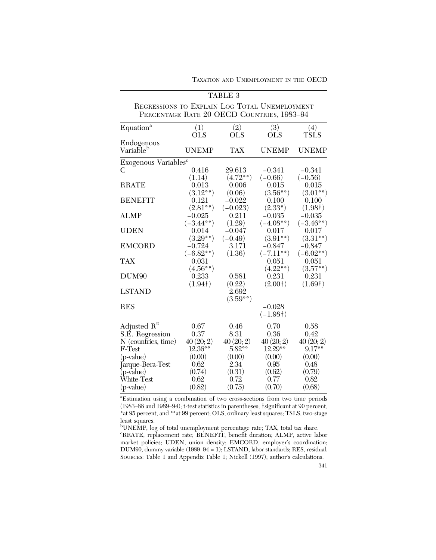|                                                                                             |                          | TABLE 3                |                          |                         |
|---------------------------------------------------------------------------------------------|--------------------------|------------------------|--------------------------|-------------------------|
| REGRESSIONS TO EXPLAIN LOG TOTAL UNEMPLOYMENT<br>PERCENTAGE RATE 20 OECD COUNTRIES, 1983-94 |                          |                        |                          |                         |
| Equation <sup>a</sup>                                                                       | (1)<br><b>OLS</b>        | (2)<br><b>OLS</b>      | (3)<br><b>OLS</b>        | (4)<br><b>TSLS</b>      |
| Endogenous<br>Variable <sup>b</sup>                                                         | <b>UNEMP</b>             | <b>TAX</b>             | <b>UNEMP</b>             | <b>UNEMP</b>            |
| Exogenous Variables <sup>c</sup>                                                            |                          |                        |                          |                         |
| C                                                                                           | 0.416<br>(1.14)          | 29.613<br>$(4.72**)$   | $-0.341$<br>$(-0.66)$    | $-0.341$<br>$(-0.56)$   |
| <b>RRATE</b>                                                                                | 0.013<br>$(3.12**)$      | 0.006<br>(0.06)        | 0.015<br>$(3.56**)$      | 0.015<br>$(3.01**)$     |
| <b>BENEFIT</b>                                                                              | 0.121<br>$(2.81**)$      | $-0.022$<br>$(-0.023)$ | 0.100<br>$(2.33*)$       | 0.100<br>(1.98)         |
| <b>ALMP</b>                                                                                 | $-0.025$<br>$(-3.44***)$ | 0.211<br>(1.29)        | $-0.035$<br>$(-4.08**)$  | $-0.035$<br>$(-3.46**)$ |
| <b>UDEN</b>                                                                                 | 0.014<br>$(3.29**)$      | $-0.047$<br>$(-0.49)$  | 0.017<br>$(3.91**)$      | 0.017<br>$(3.31**)$     |
| <b>EMCORD</b>                                                                               | $-0.724$<br>$(-6.82**)$  | 3.171<br>(1.36)        | $-0.847$<br>$(-7.11***)$ | $-0.847$<br>$(-6.02**)$ |
| <b>TAX</b>                                                                                  | 0.031<br>$(4.56**)$      |                        | 0.051<br>$(4.22**)$      | 0.051<br>$(3.57**)$     |
| DUM <sub>90</sub>                                                                           | 0.233<br>(1.94)          | 0.581<br>(0.22)        | 0.231<br>(2.00)          | 0.231<br>(1.69)         |
| <b>LSTAND</b>                                                                               |                          | 2.692<br>$(3.59**)$    |                          |                         |
| <b>RES</b>                                                                                  |                          |                        | $-0.028$<br>$(-1.98)$    |                         |
| Adjusted $\mathbb{R}^2$                                                                     | 0.67                     | 0.46                   | 0.70                     | 0.58                    |
| S.E. Regression                                                                             | 0.37                     | 8.31                   | 0.36                     | 0.42                    |
| $N$ (countries, time)                                                                       | 40(20; 2)                | 40(20; 2)              | 40(20; 2)                | 40(20; 2)               |
| F-Test                                                                                      | 12.36**                  | $5.82**$               | $12.29***$               | $9.17***$               |
| $(p-value)$                                                                                 | (0.00)                   | (0.00)                 | (0.00)                   | (0.00)                  |
| Jarque-Bera-Test                                                                            | 0.62                     | 2.34                   | 0.95                     | 0.48                    |
| (p-value)                                                                                   | (0.74)                   | (0.31)                 | (0.62)                   | (0.79)                  |
| White-Test                                                                                  | 0.62                     | 0.72                   | 0.77                     | 0.82                    |
| $(p-value)$                                                                                 | (0.82)                   | (0.75)                 | (0.70)                   | (0.68)                  |

TAXATION AND UNEMPLOYMENT IN THE OECD

a Estimation using a combination of two cross-sections from two time periods (1983–88 and 1989–94); t-test statistics in parentheses; †significant at 90 percent, \*at 95 percent, and \*\*at 99 percent; OLS, ordinary least squares; TSLS, two-stage least squares.

<sup>b</sup>UNEMP, log of total unemployment percentage rate; TAX, total tax share. c RRATE, replacement rate; BENEFIT, benefit duration; ALMP, active labor market policies; UDEN, union density; EMCORD, employer's coordination; DUM90, dummy variable (1989–94 = 1); LSTAND, labor standards; RES, residual. SOURCES: Table 1 and Appendix Table 1; Nickell (1997); author's calculations.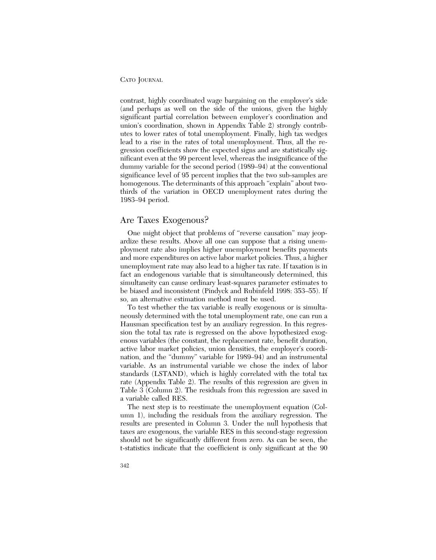contrast, highly coordinated wage bargaining on the employer's side (and perhaps as well on the side of the unions, given the highly significant partial correlation between employer's coordination and union's coordination, shown in Appendix Table 2) strongly contributes to lower rates of total unemployment. Finally, high tax wedges lead to a rise in the rates of total unemployment. Thus, all the regression coefficients show the expected signs and are statistically significant even at the 99 percent level, whereas the insignificance of the dummy variable for the second period (1989–94) at the conventional significance level of 95 percent implies that the two sub-samples are homogenous. The determinants of this approach "explain" about twothirds of the variation in OECD unemployment rates during the 1983–94 period.

#### Are Taxes Exogenous?

One might object that problems of "reverse causation" may jeopardize these results. Above all one can suppose that a rising unemployment rate also implies higher unemployment benefits payments and more expenditures on active labor market policies. Thus, a higher unemployment rate may also lead to a higher tax rate. If taxation is in fact an endogenous variable that is simultaneously determined, this simultaneity can cause ordinary least-squares parameter estimates to be biased and inconsistent (Pindyck and Rubinfeld 1998: 353–55). If so, an alternative estimation method must be used.

To test whether the tax variable is really exogenous or is simultaneously determined with the total unemployment rate, one can run a Hausman specification test by an auxiliary regression. In this regression the total tax rate is regressed on the above hypothesized exogenous variables (the constant, the replacement rate, benefit duration, active labor market policies, union densities, the employer's coordination, and the "dummy" variable for 1989–94) and an instrumental variable. As an instrumental variable we chose the index of labor standards (LSTAND), which is highly correlated with the total tax rate (Appendix Table 2). The results of this regression are given in Table 3 (Column 2). The residuals from this regression are saved in a variable called RES.

The next step is to reestimate the unemployment equation (Column 1), including the residuals from the auxiliary regression. The results are presented in Column 3. Under the null hypothesis that taxes are exogenous, the variable RES in this second-stage regression should not be significantly different from zero. As can be seen, the t-statistics indicate that the coefficient is only significant at the 90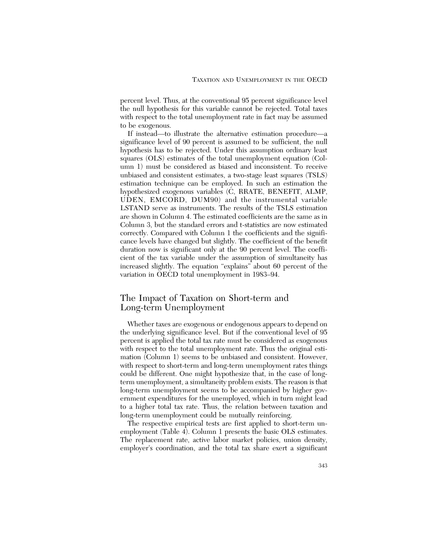percent level. Thus, at the conventional 95 percent significance level the null hypothesis for this variable cannot be rejected. Total taxes with respect to the total unemployment rate in fact may be assumed to be exogenous.

If instead—to illustrate the alternative estimation procedure—a significance level of 90 percent is assumed to be sufficient, the null hypothesis has to be rejected. Under this assumption ordinary least squares (OLS) estimates of the total unemployment equation (Column 1) must be considered as biased and inconsistent. To receive unbiased and consistent estimates, a two-stage least squares (TSLS) estimation technique can be employed. In such an estimation the hypothesized exogenous variables (C, RRATE, BENEFIT, ALMP, UDEN, EMCORD, DUM90) and the instrumental variable LSTAND serve as instruments. The results of the TSLS estimation are shown in Column 4. The estimated coefficients are the same as in Column 3, but the standard errors and t-statistics are now estimated correctly. Compared with Column 1 the coefficients and the significance levels have changed but slightly. The coefficient of the benefit duration now is significant only at the 90 percent level. The coefficient of the tax variable under the assumption of simultaneity has increased slightly. The equation "explains" about 60 percent of the variation in OECD total unemployment in 1983–94.

### The Impact of Taxation on Short-term and Long-term Unemployment

Whether taxes are exogenous or endogenous appears to depend on the underlying significance level. But if the conventional level of 95 percent is applied the total tax rate must be considered as exogenous with respect to the total unemployment rate. Thus the original estimation (Column 1) seems to be unbiased and consistent. However, with respect to short-term and long-term unemployment rates things could be different. One might hypothesize that, in the case of longterm unemployment, a simultaneity problem exists. The reason is that long-term unemployment seems to be accompanied by higher government expenditures for the unemployed, which in turn might lead to a higher total tax rate. Thus, the relation between taxation and long-term unemployment could be mutually reinforcing.

The respective empirical tests are first applied to short-term unemployment (Table 4). Column 1 presents the basic OLS estimates. The replacement rate, active labor market policies, union density, employer's coordination, and the total tax share exert a significant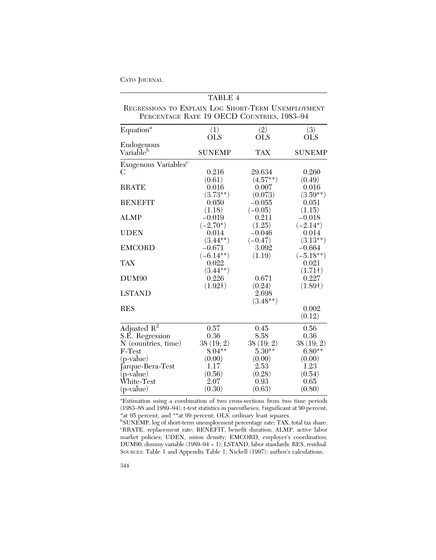|                                                                                                  | TABLE 4                 |                       |                        |
|--------------------------------------------------------------------------------------------------|-------------------------|-----------------------|------------------------|
| REGRESSIONS TO EXPLAIN LOG SHORT-TERM UNEMPLOYMENT<br>PERCENTAGE RATE 19 OECD COUNTRIES, 1983-94 |                         |                       |                        |
| Equation <sup>a</sup>                                                                            | (1)<br><b>OLS</b>       | (2)<br><b>OLS</b>     | (3)<br><b>OLS</b>      |
| Endogenous<br>Variable <sup>b</sup>                                                              | <b>SUNEMP</b>           | <b>TAX</b>            | <b>SUNEMP</b>          |
| Exogenous Variables <sup>c</sup>                                                                 |                         |                       |                        |
| C                                                                                                | 0.216<br>(0.61)         | 29.634<br>$(4.57**)$  | 0.260<br>(0.49)        |
| <b>RRATE</b>                                                                                     | 0.016<br>$(3.73**)$     | 0.007<br>(0.073)      | 0.016<br>$(3.59**)$    |
| <b>BENEFIT</b>                                                                                   | 0.050<br>(1.18)         | $-0.055$<br>$(-0.05)$ | 0.051<br>(1.15)        |
| <b>ALMP</b>                                                                                      | $-0.019$                | 0.211                 | $-0.018$               |
| <b>UDEN</b>                                                                                      | $(-2.70^*)$<br>0.014    | (1.25)<br>$-0.046$    | $(-2.14^*)$<br>0.014   |
| <b>EMCORD</b>                                                                                    | $(3.44***)$<br>$-0.671$ | $(-0.47)$<br>3.092    | $(3.13**)$<br>$-0.664$ |
| <b>TAX</b>                                                                                       | $(-6.14**)$<br>0.022    | (1.19)                | $(-5.18***)$<br>0.021  |
| DUM <sub>90</sub>                                                                                | $(3.44***)$<br>0.226    | 0.671                 | (1.71)<br>0.227        |
| <b>LSTAND</b>                                                                                    | (1.92)                  | (0.24)<br>2.698       | (1.89)                 |
|                                                                                                  |                         | $(3.48**)$            |                        |
| <b>RES</b>                                                                                       |                         |                       | 0.002<br>(0.12)        |
| Adjusted $R^2$                                                                                   | 0.57                    | 0.45                  | 0.56                   |
| S.E. Regression                                                                                  | 0.36                    | 8.58                  | 0.36                   |
| N (countries, time)                                                                              | 38(19; 2)               | 38(19; 2)             | 38(19; 2)              |
| F-Test                                                                                           | $8.04***$               | $5.30**$              | $6.80**$               |
| $(p-value)$                                                                                      | (0.00)                  | (0.00)                | (0.00)                 |
| Jarque-Bera-Test                                                                                 | 1.17                    | 2.53                  | 1.23                   |
| (p-value)                                                                                        | (0.56)                  | (0.28)                | (0.54)                 |
| White-Test                                                                                       | 2.07                    | 0.93                  | 0.65                   |
| $(p-value)$                                                                                      | (0.30)                  | (0.63)                | (0.80)                 |

a Estimation using a combination of two cross-sections from two time periods (1983–88 and 1989–94); t-test statistics in parentheses; †significant at 90 percent, \*at 95 percent, and \*\*at 99 percent; OLS, ordinary least squares.

bSUNEMP, log of short-term unemployment percentage rate; TAX, total tax share.<br>ERBATE, replacement rate: BENEEIT, benefit duration: ALMP, active labor RRATE, replacement rate; BENEFIT, benefit duration; ALMP, active labor market policies; UDEN, union density; EMCORD, employer's coordination; DUM90, dummy variable (1989–94 = 1); LSTAND, labor standards; RES, residual. SOURCES: Table 1 and Appendix Table 1; Nickell (1997); author's calculations.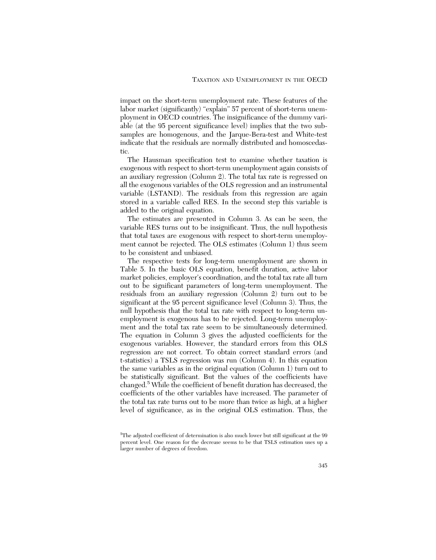impact on the short-term unemployment rate. These features of the labor market (significantly) "explain" 57 percent of short-term unemployment in OECD countries. The insignificance of the dummy variable (at the 95 percent significance level) implies that the two subsamples are homogenous, and the Jarque-Bera-test and White-test indicate that the residuals are normally distributed and homoscedastic.

The Hausman specification test to examine whether taxation is exogenous with respect to short-term unemployment again consists of an auxiliary regression (Column 2). The total tax rate is regressed on all the exogenous variables of the OLS regression and an instrumental variable (LSTAND). The residuals from this regression are again stored in a variable called RES. In the second step this variable is added to the original equation.

The estimates are presented in Column 3. As can be seen, the variable RES turns out to be insignificant. Thus, the null hypothesis that total taxes are exogenous with respect to short-term unemployment cannot be rejected. The OLS estimates (Column 1) thus seem to be consistent and unbiased.

The respective tests for long-term unemployment are shown in Table 5. In the basic OLS equation, benefit duration, active labor market policies, employer's coordination, and the total tax rate all turn out to be significant parameters of long-term unemployment. The residuals from an auxiliary regression (Column 2) turn out to be significant at the 95 percent significance level (Column 3). Thus, the null hypothesis that the total tax rate with respect to long-term unemployment is exogenous has to be rejected. Long-term unemployment and the total tax rate seem to be simultaneously determined. The equation in Column 3 gives the adjusted coefficients for the exogenous variables. However, the standard errors from this OLS regression are not correct. To obtain correct standard errors (and t-statistics) a TSLS regression was run (Column 4). In this equation the same variables as in the original equation (Column 1) turn out to be statistically significant. But the values of the coefficients have changed.5 While the coefficient of benefit duration has decreased, the coefficients of the other variables have increased. The parameter of the total tax rate turns out to be more than twice as high, at a higher level of significance, as in the original OLS estimation. Thus, the

<sup>5</sup> The adjusted coefficient of determination is also much lower but still significant at the 99 percent level. One reason for the decrease seems to be that TSLS estimation uses up a larger number of degrees of freedom.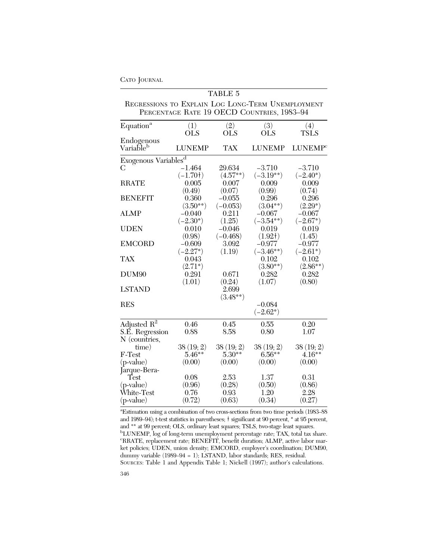|                                                   |                                            | <b>TABLE 5</b>         |                          |                            |
|---------------------------------------------------|--------------------------------------------|------------------------|--------------------------|----------------------------|
| REGRESSIONS TO EXPLAIN LOG LONG-TERM UNEMPLOYMENT | PERCENTAGE RATE 19 OECD COUNTRIES, 1983-94 |                        |                          |                            |
| Equation <sup>a</sup>                             | (1)<br><b>OLS</b>                          | (2)<br><b>OLS</b>      | (3)<br>OLS               | (4)<br><b>TSLS</b>         |
| Endogenous<br>Variable <sup>b</sup>               | <b>LUNEMP</b>                              | <b>TAX</b>             | <b>LUNEMP</b>            | <b>LUNEMP</b> <sup>c</sup> |
| Exogenous Variables <sup>d</sup>                  |                                            |                        |                          |                            |
| C                                                 | $-1.464$<br>$(-1.70)$                      | 29.634<br>$(4.57**)$   | $-3.710$<br>$(-3.19**)$  | $-3.710$<br>$(-2.40^*)$    |
| <b>RRATE</b>                                      | 0.005<br>(0.49)                            | 0.007<br>(0.07)        | 0.009<br>(0.99)          | 0.009<br>(0.74)            |
| <b>BENEFIT</b>                                    | 0.360<br>$(3.50**)$                        | $-0.055$<br>$(-0.053)$ | 0.296<br>$(3.04**)$      | 0.296<br>$(2.29^*)$        |
| <b>ALMP</b>                                       | $-0.040$<br>$(-2.30^*)$                    | 0.211<br>(1.25)        | $-0.067$<br>$(-3.54**)$  | $-0.067$<br>$(-2.67*)$     |
| <b>UDEN</b>                                       | 0.010<br>(0.98)                            | $-0.046$<br>$(-0.468)$ | 0.019<br>(1.92)          | 0.019<br>(1.45)            |
| <b>EMCORD</b>                                     | $-0.609$<br>$(-2.27*)$                     | 3.092<br>(1.19)        | $-0.977$<br>$(-3.46***)$ | $-0.977$<br>$(-2.61*)$     |
| <b>TAX</b>                                        | 0.043<br>$(2.71*)$                         |                        | 0.102<br>$(3.80**)$      | 0.102<br>$(2.86**)$        |
| DUM <sub>90</sub>                                 | 0.291<br>(1.01)                            | 0.671<br>(0.24)        | 0.282<br>(1.07)          | 0.282<br>(0.80)            |
| <b>LSTAND</b>                                     |                                            | 2.699<br>$(3.48**)$    |                          |                            |
| <b>RES</b>                                        |                                            |                        | $-0.084$<br>$(-2.62^*)$  |                            |
| Adjusted $R^2$                                    | 0.46                                       | 0.45                   | 0.55                     | 0.20                       |
| S.E. Regression<br>N (countries,                  | 0.88                                       | 8.58                   | 0.80                     | 1.07                       |
| time)                                             | 38(19; 2)                                  | 38(19; 2)              | 38(19; 2)                | 38 (19; 2)                 |
| F-Test                                            | $5.46***$                                  | $5.30**$               | $6.56***$                | $4.16***$                  |
| $(p-value)$                                       | (0.00)                                     | (0.00)                 | (0.00)                   | (0.00)                     |
| Jarque-Bera-                                      |                                            |                        |                          |                            |
| $\operatorname{Test}$                             | 0.08                                       | 2.53                   | 1.37                     | 0.31                       |
| $(p-value)$                                       | (0.96)                                     | (0.28)                 | (0.50)                   | (0.86)                     |
| Ŵhite-Test                                        | 0.76                                       | 0.93                   | 1.20                     | 2.28                       |
| $(p-value)$                                       | (0.72)                                     | (0.63)                 | (0.34)                   | (0.27)                     |

a Estimation using a combination of two cross-sections from two time periods (1983–88 and 1989–94); t-test statistics in parentheses; † significant at 90 percent, \* at 95 percent, and \*\* at 99 percent; OLS, ordinary least squares; TSLS, two-stage least squares.<br><sup>b</sup>I UNEMP, log of long term unamployment percentage rate: TAX, total tax s  $\rm ^{b}LUNEMP,$  log of long-term unemployment percentage rate; TAX, total tax share.<br>CRBATE, replacement rate: BENEEIT, bonefit duration: ALMP, active labor mar. RRATE, replacement rate; BENEFIT, benefit duration; ALMP, active labor market policies; UDEN, union density; EMCORD, employer's coordination; DUM90, dummy variable (1989–94 = 1); LSTAND, labor standards; RES, residual. SOURCES: Table 1 and Appendix Table 1; Nickell (1997); author's calculations.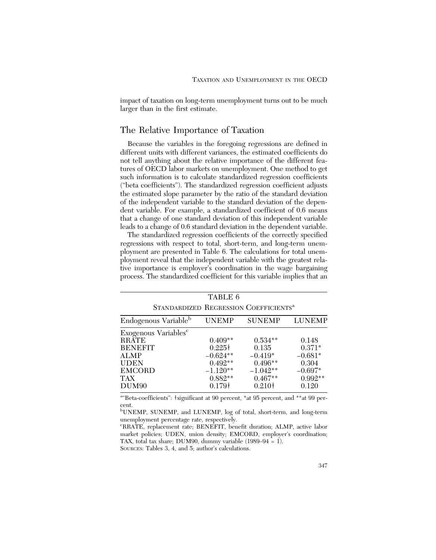impact of taxation on long-term unemployment turns out to be much larger than in the first estimate.

#### The Relative Importance of Taxation

Because the variables in the foregoing regressions are defined in different units with different variances, the estimated coefficients do not tell anything about the relative importance of the different features of OECD labor markets on unemployment. One method to get such information is to calculate standardized regression coefficients ("beta coefficients"). The standardized regression coefficient adjusts the estimated slope parameter by the ratio of the standard deviation of the independent variable to the standard deviation of the dependent variable. For example, a standardized coefficient of 0.6 means that a change of one standard deviation of this independent variable leads to a change of 0.6 standard deviation in the dependent variable.

The standardized regression coefficients of the correctly specified regressions with respect to total, short-term, and long-term unemployment are presented in Table 6. The calculations for total unemployment reveal that the independent variable with the greatest relative importance is employer's coordination in the wage bargaining process. The standardized coefficient for this variable implies that an

|                                                                                                                                               | TABLE 6                                                                                              |                                                                                                |                                                                            |
|-----------------------------------------------------------------------------------------------------------------------------------------------|------------------------------------------------------------------------------------------------------|------------------------------------------------------------------------------------------------|----------------------------------------------------------------------------|
|                                                                                                                                               |                                                                                                      | STANDARDIZED REGRESSION COEFFICIENTS <sup>a</sup>                                              |                                                                            |
| Endogenous Variable <sup>b</sup>                                                                                                              | UNEMP                                                                                                | <b>SUNEMP</b>                                                                                  | LUNEMP                                                                     |
| Exogenous Variables <sup>e</sup><br>RRĂTE<br><b>BENEFIT</b><br><b>ALMP</b><br><b>UDEN</b><br><b>EMCORD</b><br><b>TAX</b><br>DUM <sub>90</sub> | $0.409**$<br>$0.225\dagger$<br>$-0.624***$<br>$0.492**$<br>$-1.120**$<br>$0.882**$<br>$0.179\dagger$ | $0.534***$<br>0.135<br>$-0.419*$<br>$0.496**$<br>$-1.042**$<br>$0.467**$<br>0.210 <sup>†</sup> | 0.148<br>$0.371*$<br>$-0.681*$<br>0.304<br>$-0.697*$<br>$0.992**$<br>0.120 |

<sup>a</sup> Beta-coefficients": †significant at 90 percent, \*at 95 percent, and \*\*at 99 percent.

b UNEMP, SUNEMP, and LUNEMP, log of total, short-term, and long-term unemployment percentage rate, respectively.

c RRATE, replacement rate; BENEFIT, benefit duration; ALMP, active labor market policies; UDEN, union density; EMCORD, employer's coordination; TAX, total tax share; DUM90, dummy variable (1989–94 = 1). SOURCES: Tables 3, 4, and 5; author's calculations.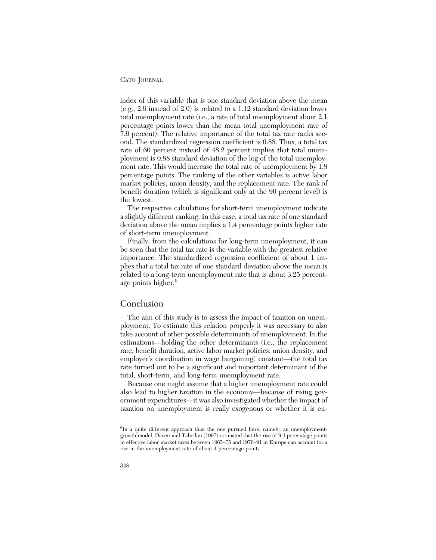index of this variable that is one standard deviation above the mean (e.g., 2.9 instead of 2.0) is related to a 1.12 standard deviation lower total unemployment rate (i.e., a rate of total unemployment about 2.1 percentage points lower than the mean total unemployment rate of 7.9 percent). The relative importance of the total tax rate ranks second. The standardized regression coefficient is 0.88. Thus, a total tax rate of 60 percent instead of 48.2 percent implies that total unemployment is 0.88 standard deviation of the log of the total unemployment rate. This would increase the total rate of unemployment by 1.8 percentage points. The ranking of the other variables is active labor market policies, union density, and the replacement rate. The rank of benefit duration (which is significant only at the 90 percent level) is the lowest.

The respective calculations for short-term unemployment indicate a slightly different ranking. In this case, a total tax rate of one standard deviation above the mean implies a 1.4 percentage points higher rate of short-term unemployment.

Finally, from the calculations for long-term unemployment, it can be seen that the total tax rate is the variable with the greatest relative importance. The standardized regression coefficient of about 1 implies that a total tax rate of one standard deviation above the mean is related to a long-term unemployment rate that is about 3.25 percentage points higher.<sup>6</sup>

#### Conclusion

The aim of this study is to assess the impact of taxation on unemployment. To estimate this relation properly it was necessary to also take account of other possible determinants of unemployment. In the estimations—holding the other determinants (i.e., the replacement rate, benefit duration, active labor market policies, union density, and employer's coordination in wage bargaining) constant—the total tax rate turned out to be a significant and important determinant of the total, short-term, and long-term unemployment rate.

Because one might assume that a higher unemployment rate could also lead to higher taxation in the economy—because of rising government expenditures—it was also investigated whether the impact of taxation on unemployment is really exogenous or whether it is en-

<sup>&</sup>lt;sup>6</sup>In a quite different approach than the one pursued here, namely, an unemploymentgrowth model, Daveri and Tabellini (1997) estimated that the rise of 9.4 percentage points in effective labor market taxes between 1965–75 and 1976–91 in Europe can account for a rise in the unemployment rate of about 4 percentage points.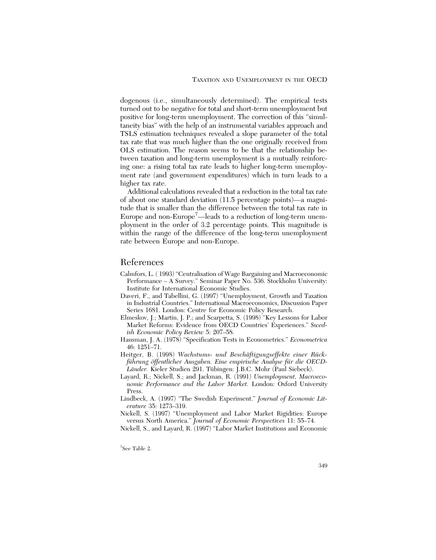dogenous (i.e., simultaneously determined). The empirical tests turned out to be negative for total and short-term unemployment but positive for long-term unemployment. The correction of this "simultaneity bias" with the help of an instrumental variables approach and TSLS estimation techniques revealed a slope parameter of the total tax rate that was much higher than the one originally received from OLS estimation. The reason seems to be that the relationship between taxation and long-term unemployment is a mutually reinforcing one: a rising total tax rate leads to higher long-term unemployment rate (and government expenditures) which in turn leads to a higher tax rate.

Additional calculations revealed that a reduction in the total tax rate of about one standard deviation (11.5 percentage points)—a magnitude that is smaller than the difference between the total tax rate in Europe and non-Europe<sup>7</sup>—leads to a reduction of long-term unemployment in the order of 3.2 percentage points. This magnitude is within the range of the difference of the long-term unemployment rate between Europe and non-Europe.

#### References

- Calmfors, L. ( 1993) "Centralisation of Wage Bargaining and Macroeconomic Performance – A Survey." Seminar Paper No. 536. Stockholm University: Institute for International Economic Studies.
- Daveri, F., and Tabellini, G. (1997) "Unemployment, Growth and Taxation in Industrial Countries." International Macroeconomics, Discussion Paper Series 1681. London: Centre for Economic Policy Research.
- Elmeskov, J.; Martin, J. P.; and Scarpetta, S. (1998) "Key Lessons for Labor Market Reforms: Evidence from OECD Countries' Experiences." *Swedish Economic Policy Review* 5: 207–58.
- Hausman, J. A. (1978) "Specification Tests in Econometrics." *Econometrica* 46: 1251–71.
- Heitger, B. (1998) *Wachstums- und Beschäftigungseffekte einer Rückführung öffentlicher Ausgaben. Eine empirische Analyse für die OECD-*Länder. Kieler Studien 291. Tübingen: J.B.C. Mohr (Paul Siebeck).
- Layard, R.; Nickell, S.; and Jackman, R. (1991) *Unemployment, Macroeconomic Performance and the Labor Market.* London: Oxford University Press.
- Lindbeck, A. (1997) "The Swedish Experiment." *Journal of Economic Literature* 35: 1273–319.

Nickell, S. (1997) "Unemployment and Labor Market Rigidities: Europe versus North America." *Journal of Economic Perspectives* 11: 55–74.

Nickell, S., and Layard, R. (1997) "Labor Market Institutions and Economic

7 See Table 2.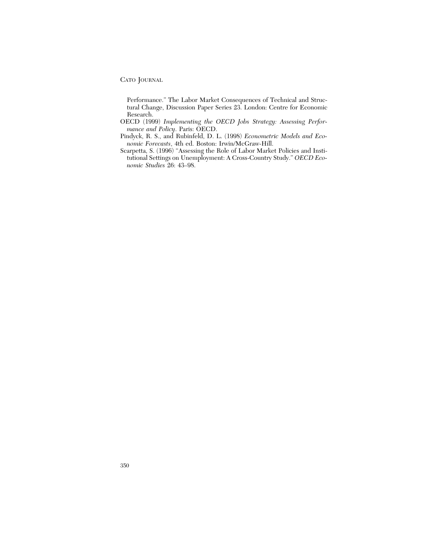Performance." The Labor Market Consequences of Technical and Structural Change, Discussion Paper Series 23. London: Centre for Economic Research.

- OECD (1999) *Implementing the OECD Jobs Strategy: Assessing Performance and Policy*. Paris: OECD.
- Pindyck, R. S., and Rubinfeld, D. L. (1998) *Econometric Models and Economic Forecasts*, 4th ed. Boston: Irwin/McGraw-Hill.
- Scarpetta, S. (1996) "Assessing the Role of Labor Market Policies and Institutional Settings on Unemployment: A Cross-Country Study." *OECD Economic Studies* 26: 43–98.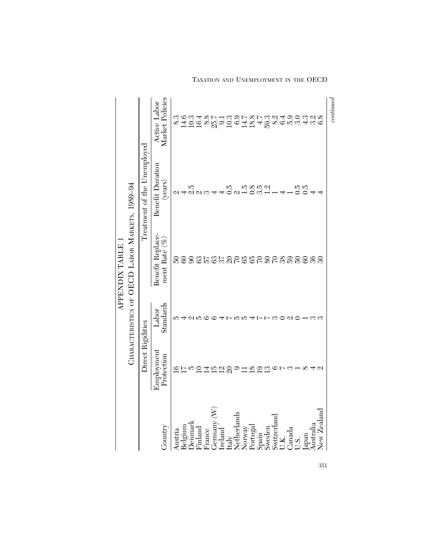|                                  |                          |                    | APPENDIX TABLE                                 |                             |                                 |
|----------------------------------|--------------------------|--------------------|------------------------------------------------|-----------------------------|---------------------------------|
|                                  |                          |                    | CHARACTERISTICS OF OECD LABOR MARKETS, 1989-94 |                             |                                 |
|                                  | Direct Rigidities        |                    |                                                | Treatment of the Unemployed |                                 |
| Country                          | Employment<br>Protection | Standards<br>Labor | Benefit Replace-<br>ment Rate $(\%$            | Benefit Duration<br>(years) | Active Labor<br>Market Policies |
| Austria                          |                          |                    |                                                | $\omega$ 4                  |                                 |
| Belgium                          | $rac{10}{10}$            |                    |                                                |                             |                                 |
| <b>Denmar</b>                    |                          |                    |                                                | 2.S                         |                                 |
| Finland                          |                          |                    |                                                |                             |                                 |
| France                           |                          |                    |                                                |                             |                                 |
| Germany $(W)$                    | HANGOHAAA                |                    | BOOSHLALOORBOOORBOOR                           |                             |                                 |
|                                  |                          |                    |                                                |                             |                                 |
| Ireland<br>Italy                 |                          |                    |                                                | $\frac{1}{2}$               |                                 |
| Netherlands                      |                          |                    |                                                |                             |                                 |
|                                  |                          | ю                  |                                                |                             |                                 |
| Norway<br>Portugal               |                          |                    |                                                | 100101<br>10011             |                                 |
|                                  |                          | $4 - 5$            |                                                |                             |                                 |
| $S$ pain $S$ weden               |                          |                    |                                                |                             |                                 |
| Switzerland                      |                          | S                  |                                                |                             |                                 |
| J.K.                             |                          |                    |                                                |                             |                                 |
|                                  |                          | Ø1                 |                                                |                             |                                 |
| Canada<br>U.S.                   |                          |                    |                                                | 0.0<br>0.0                  |                                 |
| lapan                            |                          |                    |                                                |                             |                                 |
| $\rm \AA$ ustrali $\rm \epsilon$ |                          | S                  |                                                |                             |                                 |
| New Zealand                      |                          |                    |                                                |                             |                                 |
|                                  |                          |                    |                                                |                             | continuous                      |

TAXATION AND UNEMPLOYMENT IN THE OECD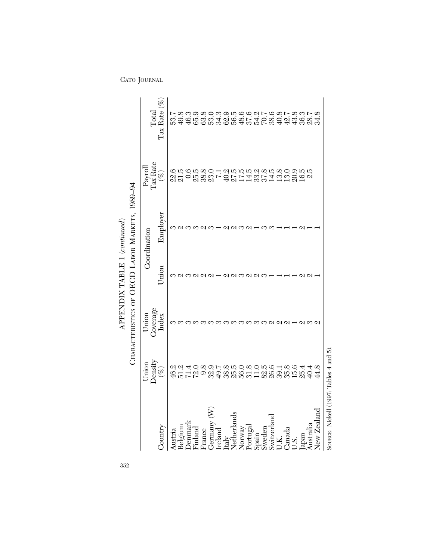|                                        |                                |                                                | APPENDIX TABLE 1 (continued) |              |                                               |                                            |
|----------------------------------------|--------------------------------|------------------------------------------------|------------------------------|--------------|-----------------------------------------------|--------------------------------------------|
|                                        |                                | CHARACTERISTICS OF OECD LABOR MARKETS, 1989-94 |                              |              |                                               |                                            |
|                                        | Density<br>$U$ nion            | Coverage<br>Union                              |                              | Coordination | Tax <sup>Rate</sup><br>Payroll                | $\rm Total$                                |
| Country                                | $(\%)$                         | Index                                          | Jnion                        | Employer     | $(\%)$                                        | Tax Rate $(\%$                             |
| Austria                                |                                |                                                |                              | ∞            |                                               |                                            |
| Belgium                                |                                |                                                |                              |              |                                               |                                            |
| Jenmar                                 |                                |                                                |                              |              |                                               |                                            |
| Finland                                |                                |                                                |                              |              |                                               |                                            |
| France                                 |                                |                                                | U U U                        |              |                                               |                                            |
| Gernany                                |                                |                                                |                              |              |                                               |                                            |
| Ireland                                |                                |                                                |                              |              |                                               |                                            |
| Italy                                  |                                |                                                |                              |              |                                               |                                            |
| Netherlands                            |                                |                                                |                              | വനവ          |                                               |                                            |
| Norway                                 |                                |                                                |                              |              |                                               |                                            |
| Portugal                               |                                |                                                |                              |              |                                               |                                            |
| Spain                                  | ねいはり8978508056182、210800000000 | າຕຕຕຕດລາ                                       | ! ៧ ៧ M ៧ M M                |              | のほのほとの上立ちほどときるののほどのことのことについるというか。 こうきょう こうきょう | それものではあるですかです。<br>このからということのでいいのかないのとものです。 |
| Sweden                                 |                                |                                                |                              |              |                                               |                                            |
| Switzerland                            |                                |                                                |                              |              |                                               |                                            |
| U.K.                                   |                                |                                                |                              |              |                                               |                                            |
| Canada                                 |                                |                                                |                              |              |                                               |                                            |
| 5.5                                    | $15.6$<br>25.4                 |                                                |                              |              |                                               |                                            |
| made                                   |                                |                                                |                              |              |                                               |                                            |
| Australia                              | 40.4                           |                                                |                              |              |                                               |                                            |
| New Zealand                            | 44.8                           |                                                |                              |              |                                               |                                            |
| SOURCE: Nickell (1997: Tables 4 and 5) |                                |                                                |                              |              |                                               |                                            |

352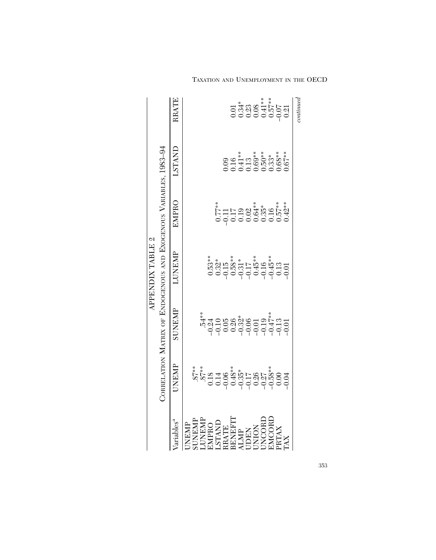|                                                                                                                     |              |                                                                   | APPENDIX TABLE 2 |                                                                                                                                                                                                                                                                                                                                               |                                                                              |            |
|---------------------------------------------------------------------------------------------------------------------|--------------|-------------------------------------------------------------------|------------------|-----------------------------------------------------------------------------------------------------------------------------------------------------------------------------------------------------------------------------------------------------------------------------------------------------------------------------------------------|------------------------------------------------------------------------------|------------|
|                                                                                                                     |              | CORRELATION MATRIX OF ENDOGENOUS AND EXOGENOUS VARIABLES, 1983-94 |                  |                                                                                                                                                                                                                                                                                                                                               |                                                                              |            |
| Variables <sup>a</sup>                                                                                              | <b>JNEMP</b> | <b>SUNEMP</b>                                                     | <b>LUNEMP</b>    | EMPRO                                                                                                                                                                                                                                                                                                                                         | LSTAND                                                                       | RRATE      |
|                                                                                                                     |              |                                                                   |                  |                                                                                                                                                                                                                                                                                                                                               |                                                                              |            |
|                                                                                                                     |              |                                                                   |                  |                                                                                                                                                                                                                                                                                                                                               |                                                                              |            |
|                                                                                                                     |              |                                                                   |                  |                                                                                                                                                                                                                                                                                                                                               |                                                                              |            |
| UNEMP<br>SUNEMP<br>LUNEMP<br>LUNEMP<br>LSTAND<br>LSTAND<br>LUNENT<br>HALMP<br>CORD<br>CUNCORD<br>CUNCORD<br>CUNCORD |              |                                                                   |                  |                                                                                                                                                                                                                                                                                                                                               |                                                                              |            |
|                                                                                                                     |              |                                                                   |                  |                                                                                                                                                                                                                                                                                                                                               |                                                                              |            |
|                                                                                                                     |              |                                                                   |                  |                                                                                                                                                                                                                                                                                                                                               |                                                                              |            |
|                                                                                                                     |              |                                                                   |                  | $\begin{array}{l} 0.77^{**} \\ 0.11 \\ -0.19 \\ 0.00 \\ 0.00 \\ -0.00 \\ 0.00 \\ -0.00 \\ -0.00 \\ -0.00 \\ -0.00 \\ -0.00 \\ -0.00 \\ -0.00 \\ -0.00 \\ -0.00 \\ -0.00 \\ -0.00 \\ -0.00 \\ -0.00 \\ -0.00 \\ -0.00 \\ -0.00 \\ -0.00 \\ -0.00 \\ -0.00 \\ -0.00 \\ -0.00 \\ -0.00 \\ -0.00 \\ -0.00 \\ -0.00 \\ -0.00 \\ -0.00 \\ -0.00 \\$ | $0.09$<br>$0.16$<br>$0.13$<br>$0.50$<br>$0.50$<br>$0.65$<br>$0.67$<br>$0.67$ |            |
|                                                                                                                     |              |                                                                   |                  |                                                                                                                                                                                                                                                                                                                                               |                                                                              |            |
|                                                                                                                     |              |                                                                   |                  |                                                                                                                                                                                                                                                                                                                                               |                                                                              |            |
|                                                                                                                     |              |                                                                   |                  |                                                                                                                                                                                                                                                                                                                                               |                                                                              |            |
|                                                                                                                     |              |                                                                   |                  |                                                                                                                                                                                                                                                                                                                                               |                                                                              |            |
|                                                                                                                     |              |                                                                   |                  |                                                                                                                                                                                                                                                                                                                                               |                                                                              |            |
| PRTAX                                                                                                               |              |                                                                   |                  |                                                                                                                                                                                                                                                                                                                                               |                                                                              |            |
| TAX                                                                                                                 |              |                                                                   |                  |                                                                                                                                                                                                                                                                                                                                               |                                                                              |            |
|                                                                                                                     |              |                                                                   |                  |                                                                                                                                                                                                                                                                                                                                               |                                                                              | continuous |

TAXATION AND UNEMPLOYMENT IN THE OECD